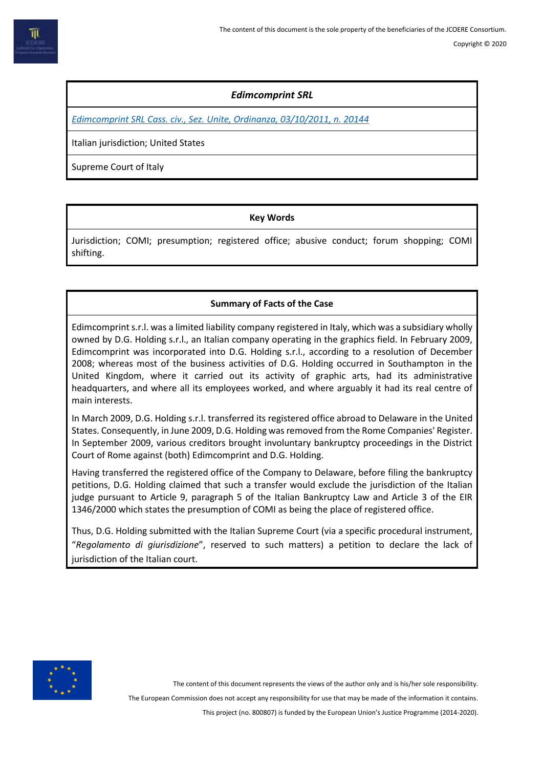# *Edimcomprint SRL*

*[Edimcomprint SRL Cass. civ., Sez. Unite, Ordinanza, 03/10/2011, n. 20144](http://bancadati.ilfallimentarista.it/Fallimento/Sentenze?idDocMaster=2914160&idDataBanks=2&idUnitaDoc=0&nVigUnitaDoc=1&pagina=1&NavId=1461548850&pid=22&IsCorr=False)*

Italian jurisdiction; United States

Supreme Court of Italy

## **Key Words**

Jurisdiction; COMI; presumption; registered office; abusive conduct; forum shopping; COMI shifting.

## **Summary of Facts of the Case**

Edimcomprint s.r.l. was a limited liability company registered in Italy, which was a subsidiary wholly owned by D.G. Holding s.r.l., an Italian company operating in the graphics field. In February 2009, Edimcomprint was incorporated into D.G. Holding s.r.l., according to a resolution of December 2008; whereas most of the business activities of D.G. Holding occurred in Southampton in the United Kingdom, where it carried out its activity of graphic arts, had its administrative headquarters, and where all its employees worked, and where arguably it had its real centre of main interests.

In March 2009, D.G. Holding s.r.l. transferred its registered office abroad to Delaware in the United States. Consequently, in June 2009, D.G. Holding was removed from the Rome Companies' Register. In September 2009, various creditors brought involuntary bankruptcy proceedings in the District Court of Rome against (both) Edimcomprint and D.G. Holding.

Having transferred the registered office of the Company to Delaware, before filing the bankruptcy petitions, D.G. Holding claimed that such a transfer would exclude the jurisdiction of the Italian judge pursuant to Article 9, paragraph 5 of the Italian Bankruptcy Law and Article 3 of the EIR 1346/2000 which states the presumption of COMI as being the place of registered office.

Thus, D.G. Holding submitted with the Italian Supreme Court (via a specific procedural instrument, "*Regolamento di giurisdizione*", reserved to such matters) a petition to declare the lack of jurisdiction of the Italian court.



The content of this document represents the views of the author only and is his/her sole responsibility.

The European Commission does not accept any responsibility for use that may be made of the information it contains.

This project (no. 800807) is funded by the European Union's Justice Programme (2014-2020).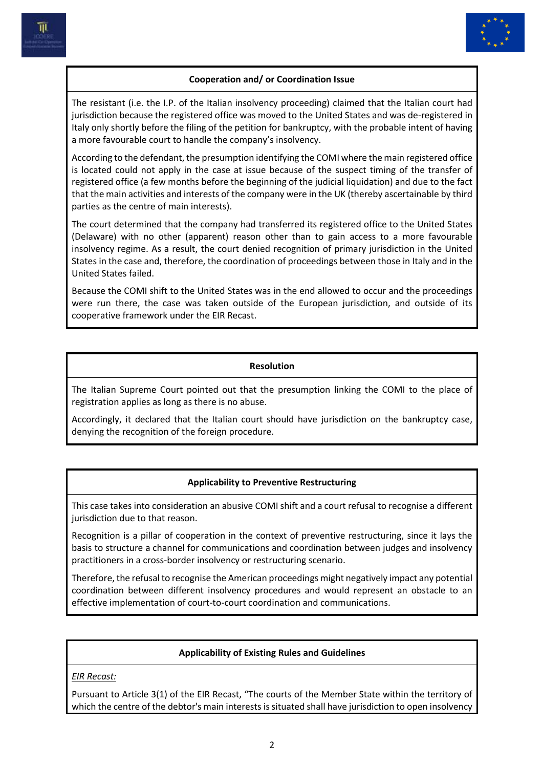



## **Cooperation and/ or Coordination Issue**

The resistant (i.e. the I.P. of the Italian insolvency proceeding) claimed that the Italian court had jurisdiction because the registered office was moved to the United States and was de-registered in Italy only shortly before the filing of the petition for bankruptcy, with the probable intent of having a more favourable court to handle the company's insolvency.

According to the defendant, the presumption identifying the COMI where the main registered office is located could not apply in the case at issue because of the suspect timing of the transfer of registered office (a few months before the beginning of the judicial liquidation) and due to the fact that the main activities and interests of the company were in the UK (thereby ascertainable by third parties as the centre of main interests).

The court determined that the company had transferred its registered office to the United States (Delaware) with no other (apparent) reason other than to gain access to a more favourable insolvency regime. As a result, the court denied recognition of primary jurisdiction in the United States in the case and, therefore, the coordination of proceedings between those in Italy and in the United States failed.

Because the COMI shift to the United States was in the end allowed to occur and the proceedings were run there, the case was taken outside of the European jurisdiction, and outside of its cooperative framework under the EIR Recast.

#### **Resolution**

The Italian Supreme Court pointed out that the presumption linking the COMI to the place of registration applies as long as there is no abuse.

Accordingly, it declared that the Italian court should have jurisdiction on the bankruptcy case, denying the recognition of the foreign procedure.

#### **Applicability to Preventive Restructuring**

This case takes into consideration an abusive COMI shift and a court refusal to recognise a different jurisdiction due to that reason.

Recognition is a pillar of cooperation in the context of preventive restructuring, since it lays the basis to structure a channel for communications and coordination between judges and insolvency practitioners in a cross-border insolvency or restructuring scenario.

Therefore, the refusal to recognise the American proceedings might negatively impact any potential coordination between different insolvency procedures and would represent an obstacle to an effective implementation of court-to-court coordination and communications.

#### **Applicability of Existing Rules and Guidelines**

*EIR Recast:*

Pursuant to Article 3(1) of the EIR Recast, "The courts of the Member State within the territory of which the centre of the debtor's main interests is situated shall have jurisdiction to open insolvency